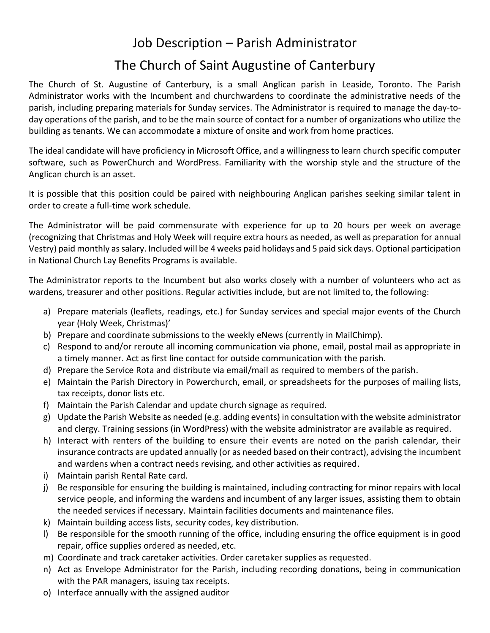## Job Description – Parish Administrator

## The Church of Saint Augustine of Canterbury

The Church of St. Augustine of Canterbury, is a small Anglican parish in Leaside, Toronto. The Parish Administrator works with the Incumbent and churchwardens to coordinate the administrative needs of the parish, including preparing materials for Sunday services. The Administrator is required to manage the day-today operations of the parish, and to be the main source of contact for a number of organizations who utilize the building as tenants. We can accommodate a mixture of onsite and work from home practices.

The ideal candidate will have proficiency in Microsoft Office, and a willingness to learn church specific computer software, such as PowerChurch and WordPress. Familiarity with the worship style and the structure of the Anglican church is an asset.

It is possible that this position could be paired with neighbouring Anglican parishes seeking similar talent in order to create a full-time work schedule.

The Administrator will be paid commensurate with experience for up to 20 hours per week on average (recognizing that Christmas and Holy Week will require extra hours as needed, as well as preparation for annual Vestry) paid monthly as salary. Included will be 4 weeks paid holidays and 5 paid sick days. Optional participation in National Church Lay Benefits Programs is available.

The Administrator reports to the Incumbent but also works closely with a number of volunteers who act as wardens, treasurer and other positions. Regular activities include, but are not limited to, the following:

- a) Prepare materials (leaflets, readings, etc.) for Sunday services and special major events of the Church year (Holy Week, Christmas)'
- b) Prepare and coordinate submissions to the weekly eNews (currently in MailChimp).
- c) Respond to and/or reroute all incoming communication via phone, email, postal mail as appropriate in a timely manner. Act as first line contact for outside communication with the parish.
- d) Prepare the Service Rota and distribute via email/mail as required to members of the parish.
- e) Maintain the Parish Directory in Powerchurch, email, or spreadsheets for the purposes of mailing lists, tax receipts, donor lists etc.
- f) Maintain the Parish Calendar and update church signage as required.
- g) Update the Parish Website as needed (e.g. adding events) in consultation with the website administrator and clergy. Training sessions (in WordPress) with the website administrator are available as required.
- h) Interact with renters of the building to ensure their events are noted on the parish calendar, their insurance contracts are updated annually (or as needed based on their contract), advising the incumbent and wardens when a contract needs revising, and other activities as required.
- i) Maintain parish Rental Rate card.
- j) Be responsible for ensuring the building is maintained, including contracting for minor repairs with local service people, and informing the wardens and incumbent of any larger issues, assisting them to obtain the needed services if necessary. Maintain facilities documents and maintenance files.
- k) Maintain building access lists, security codes, key distribution.
- l) Be responsible for the smooth running of the office, including ensuring the office equipment is in good repair, office supplies ordered as needed, etc.
- m) Coordinate and track caretaker activities. Order caretaker supplies as requested.
- n) Act as Envelope Administrator for the Parish, including recording donations, being in communication with the PAR managers, issuing tax receipts.
- o) Interface annually with the assigned auditor